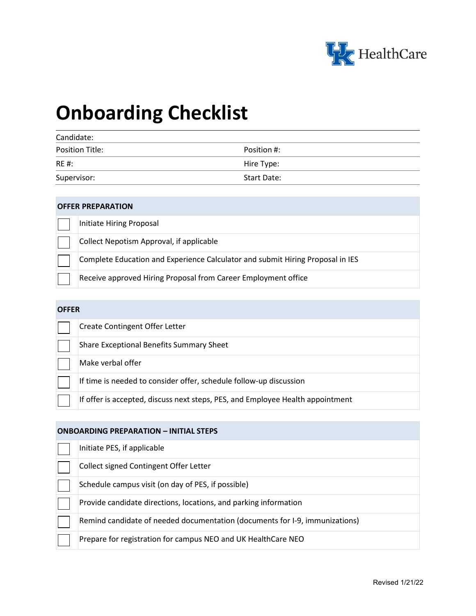

# **Onboarding Checklist**

| Candidate:             |                    |  |
|------------------------|--------------------|--|
| <b>Position Title:</b> | Position #:        |  |
| <b>RE#:</b>            | Hire Type:         |  |
| Supervisor:            | <b>Start Date:</b> |  |

### **OFFER PREPARATION**

| Initiate Hiring Proposal                                                       |
|--------------------------------------------------------------------------------|
| Collect Nepotism Approval, if applicable                                       |
| Complete Education and Experience Calculator and submit Hiring Proposal in IES |
| Receive approved Hiring Proposal from Career Employment office                 |

# **OFFER**

| <b>Create Contingent Offer Letter</b>                                          |
|--------------------------------------------------------------------------------|
| Share Exceptional Benefits Summary Sheet                                       |
| Make verbal offer                                                              |
| If time is needed to consider offer, schedule follow-up discussion             |
| If offer is accepted, discuss next steps, PES, and Employee Health appointment |

### **ONBOARDING PREPARATION – INITIAL STEPS**

| Initiate PES, if applicable                                                 |
|-----------------------------------------------------------------------------|
| Collect signed Contingent Offer Letter                                      |
| Schedule campus visit (on day of PES, if possible)                          |
| Provide candidate directions, locations, and parking information            |
| Remind candidate of needed documentation (documents for I-9, immunizations) |
| Prepare for registration for campus NEO and UK HealthCare NEO               |